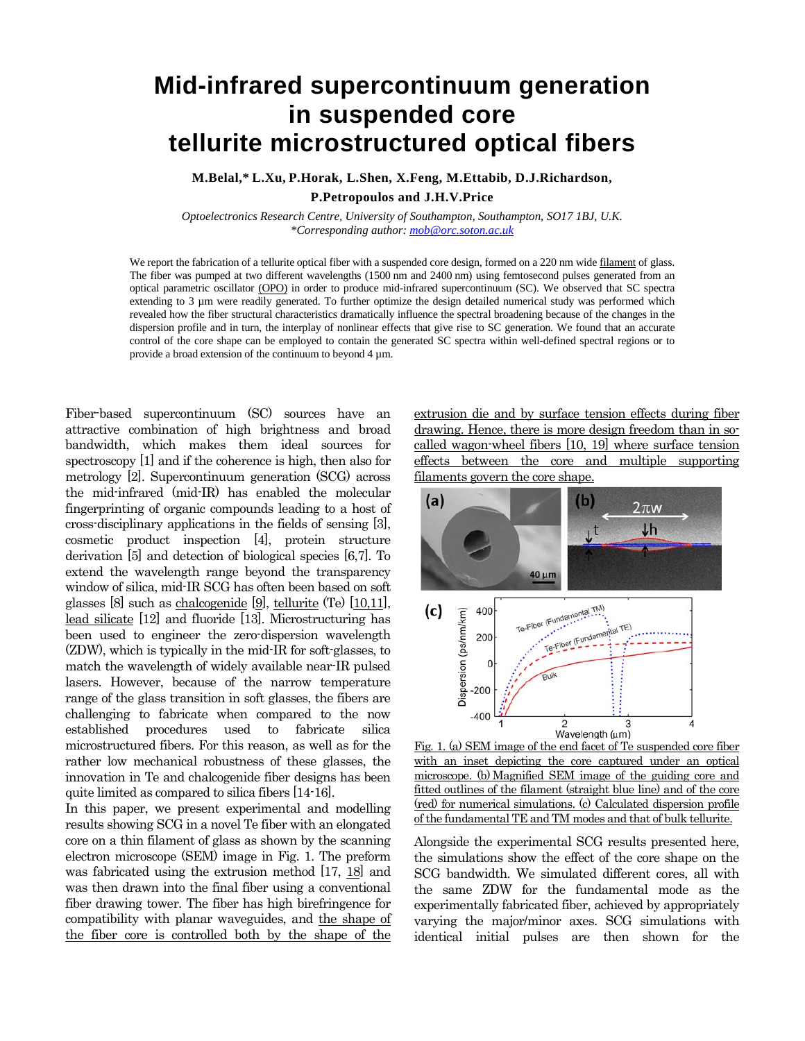## **Mid-infrared supercontinuum generation in suspended core tellurite microstructured optical fibers**

**M.Belal,\* L.Xu, P.Horak, L.Shen, X.Feng, M.Ettabib, D.J.Richardson, P.Petropoulos and J.H.V.Price**

*Optoelectronics Research Centre, University of Southampton, Southampton, SO17 1BJ, U.K. \*Corresponding author[: mob@orc.soton.ac.uk](mailto:mob@orc.soton.ac.uk)*

We report the fabrication of a tellurite optical fiber with a suspended core design, formed on a 220 nm wide filament of glass. The fiber was pumped at two different wavelengths (1500 nm and 2400 nm) using femtosecond pulses generated from an optical parametric oscillator (OPO) in order to produce mid-infrared supercontinuum (SC). We observed that SC spectra extending to 3 µm were readily generated. To further optimize the design detailed numerical study was performed which revealed how the fiber structural characteristics dramatically influence the spectral broadening because of the changes in the dispersion profile and in turn, the interplay of nonlinear effects that give rise to SC generation. We found that an accurate control of the core shape can be employed to contain the generated SC spectra within well-defined spectral regions or to provide a broad extension of the continuum to beyond  $4 \mu$ m.

Fiber-based supercontinuum (SC) sources have an attractive combination of high brightness and broad bandwidth, which makes them ideal sources for spectroscopy [1] and if the coherence is high, then also for metrology [2]. Supercontinuum generation (SCG) across the mid-infrared (mid-IR) has enabled the molecular fingerprinting of organic compounds leading to a host of cross-disciplinary applications in the fields of sensing [3], cosmetic product inspection [4], protein structure derivation [5] and detection of biological species [6,7]. To extend the wavelength range beyond the transparency window of silica, mid-IR SCG has often been based on soft glasses [8] such as chalcogenide [9], tellurite (Te) [10,11], lead silicate [12] and fluoride [13]. Microstructuring has been used to engineer the zero-dispersion wavelength (ZDW), which is typically in the mid-IR for soft-glasses, to match the wavelength of widely available near-IR pulsed lasers. However, because of the narrow temperature range of the glass transition in soft glasses, the fibers are challenging to fabricate when compared to the now established procedures used to fabricate silica microstructured fibers. For this reason, as well as for the rather low mechanical robustness of these glasses, the innovation in Te and chalcogenide fiber designs has been quite limited as compared to silica fibers [14-16].

In this paper, we present experimental and modelling results showing SCG in a novel Te fiber with an elongated core on a thin filament of glass as shown by the scanning electron microscope (SEM) image in Fig. 1. The preform was fabricated using the extrusion method [17, 18] and was then drawn into the final fiber using a conventional fiber drawing tower. The fiber has high birefringence for compatibility with planar waveguides, and the shape of the fiber core is controlled both by the shape of the extrusion die and by surface tension effects during fiber drawing. Hence, there is more design freedom than in socalled wagon-wheel fibers [10, 19] where surface tension effects between the core and multiple supporting filaments govern the core shape.



Fig. 1. (a) SEM image of the end facet of Te suspended core fiber with an inset depicting the core captured under an optical microscope. (b) Magnified SEM image of the guiding core and fitted outlines of the filament (straight blue line) and of the core (red) for numerical simulations. (c) Calculated dispersion profile of the fundamental TE and TM modes and that of bulk tellurite.

Alongside the experimental SCG results presented here, the simulations show the effect of the core shape on the SCG bandwidth. We simulated different cores, all with the same ZDW for the fundamental mode as the experimentally fabricated fiber, achieved by appropriately varying the major/minor axes. SCG simulations with identical initial pulses are then shown for the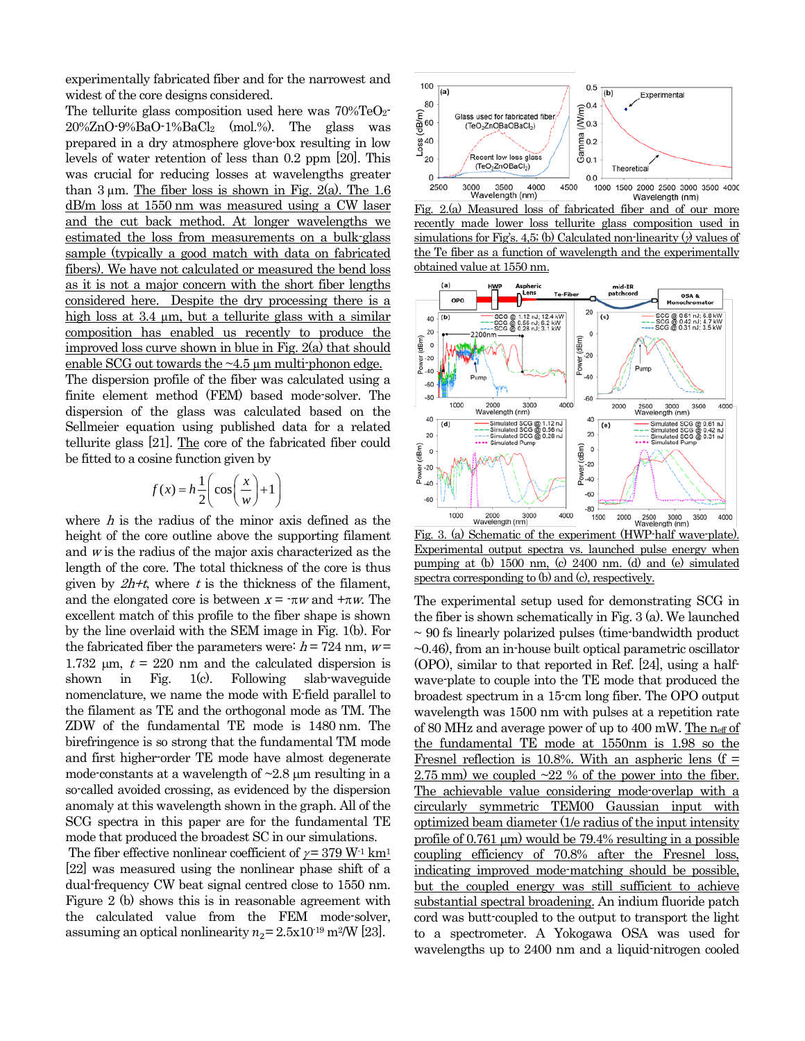experimentally fabricated fiber and for the narrowest and widest of the core designs considered.

The tellurite glass composition used here was  $70\% \text{TeO}_2$ 20%ZnO-9%BaO-1%BaCl2 (mol.%). The glass was prepared in a dry atmosphere glove-box resulting in low levels of water retention of less than 0.2 ppm [20]. This was crucial for reducing losses at wavelengths greater than  $3 \mu$ m. The fiber loss is shown in Fig. 2(a). The 1.6 dB/m loss at 1550 nm was measured using a CW laser and the cut back method. At longer wavelengths we estimated the loss from measurements on a bulk-glass sample (typically a good match with data on fabricated fibers). We have not calculated or measured the bend loss as it is not a major concern with the short fiber lengths considered here. Despite the dry processing there is a high loss at 3.4  $\mu$ m, but a tellurite glass with a similar composition has enabled us recently to produce the improved loss curve shown in blue in Fig. 2(a) that should enable SCG out towards the  $\sim$ 4.5  $\mu$ m multi-phonon edge.

The dispersion profile of the fiber was calculated using a finite element method (FEM) based mode-solver. The dispersion of the glass was calculated based on the Sellmeier equation using published data for a related tellurite glass [21]. The core of the fabricated fiber could be fitted to a cosine function given by

$$
f(x) = h \frac{1}{2} \left( \cos \left( \frac{x}{w} \right) + 1 \right)
$$

where  $h$  is the radius of the minor axis defined as the height of the core outline above the supporting filament and  $w$  is the radius of the major axis characterized as the length of the core. The total thickness of the core is thus given by  $2h+t$ , where t is the thickness of the filament, and the elongated core is between  $x = \tau w$  and  $\tau w$ . The excellent match of this profile to the fiber shape is shown by the line overlaid with the SEM image in Fig. 1(b). For the fabricated fiber the parameters were:  $h = 724$  nm,  $w =$ 1.732  $\mu$ m,  $t = 220$  nm and the calculated dispersion is shown in Fig. 1(c). Following slab-waveguide nomenclature, we name the mode with E-field parallel to the filament as TE and the orthogonal mode as TM. The ZDW of the fundamental TE mode is 1480 nm. The birefringence is so strong that the fundamental TM mode and first higher-order TE mode have almost degenerate mode-constants at a wavelength of  $\sim$ 2.8  $\mu$ m resulting in a so-called avoided crossing, as evidenced by the dispersion anomaly at this wavelength shown in the graph. All of the SCG spectra in this paper are for the fundamental TE mode that produced the broadest SC in our simulations.

The fiber effective nonlinear coefficient of  $\gamma = 379$  W<sup>-1</sup> km<sup>1</sup> [22] was measured using the nonlinear phase shift of a dual-frequency CW beat signal centred close to 1550 nm. Figure 2 (b) shows this is in reasonable agreement with the calculated value from the FEM mode-solver, assuming an optical nonlinearity  $n_2 = 2.5 \times 10^{-19}$  m<sup>2</sup>/W [23].



Fig. 2.(a) Measured loss of fabricated fiber and of our more recently made lower loss tellurite glass composition used in simulations for Fig's. 4,5; (b) Calculated non-linearity ( $\gamma$ ) values of the Te fiber as a function of wavelength and the experimentally obtained value at 1550 nm.



Fig. 3. (a) Schematic of the experiment (HWP-half wave-plate). Experimental output spectra vs. launched pulse energy when pumping at (b) 1500 nm, (c) 2400 nm. (d) and (e) simulated spectra corresponding to (b) and (c), respectively.

The experimental setup used for demonstrating SCG in the fiber is shown schematically in Fig. 3 (a). We launched  $\sim$  90 fs linearly polarized pulses (time-bandwidth product  $\sim$ 0.46), from an in-house built optical parametric oscillator (OPO), similar to that reported in Ref. [24], using a halfwave-plate to couple into the TE mode that produced the broadest spectrum in a 15-cm long fiber. The OPO output wavelength was 1500 nm with pulses at a repetition rate of 80 MHz and average power of up to 400 mW. The neff of the fundamental TE mode at 1550nm is 1.98 so the Fresnel reflection is 10.8%. With an aspheric lens ( $f =$ 2.75 mm) we coupled  $\sim$ 22 % of the power into the fiber. The achievable value considering mode-overlap with a circularly symmetric TEM00 Gaussian input with optimized beam diameter (1/e radius of the input intensity profile of 0.761  $\mu$ m) would be 79.4% resulting in a possible coupling efficiency of 70.8% after the Fresnel loss, indicating improved mode-matching should be possible, but the coupled energy was still sufficient to achieve substantial spectral broadening. An indium fluoride patch cord was butt-coupled to the output to transport the light to a spectrometer. A Yokogawa OSA was used for wavelengths up to 2400 nm and a liquid-nitrogen cooled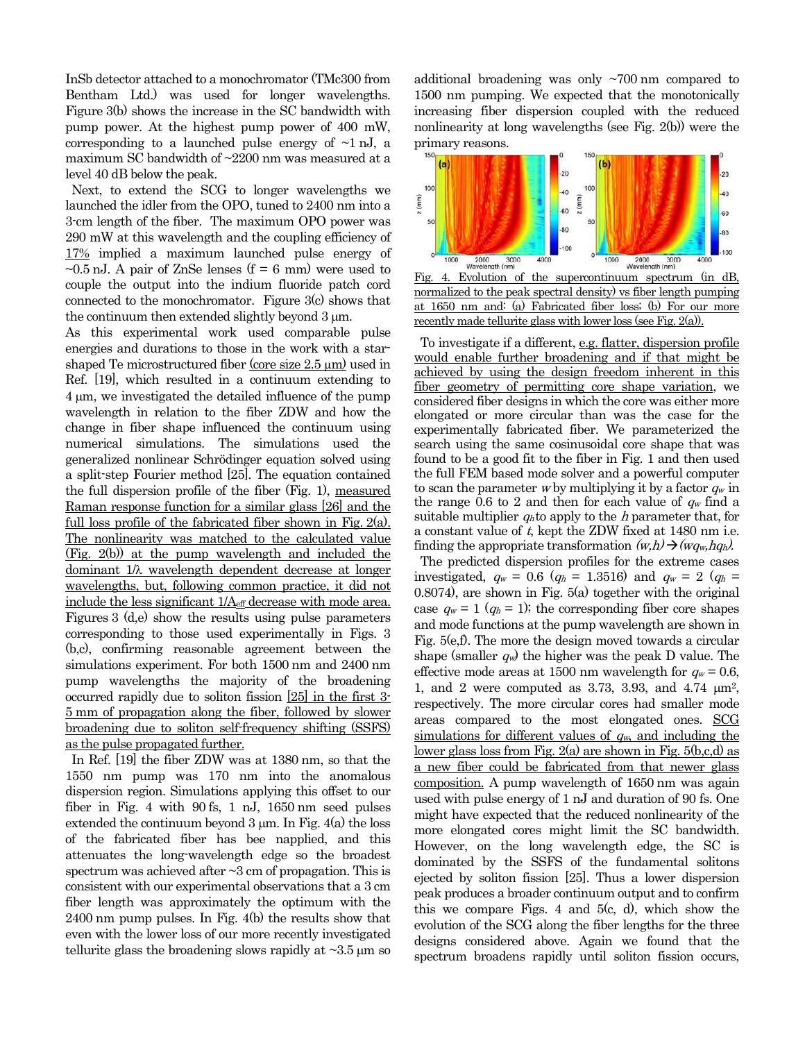InSb detector attached to a monochromator (TMc300 from Bentham Ltd.) was used for longer wavelengths. Figure 3(b) shows the increase in the SC bandwidth with pump power. At the highest pump power of 400 mW, corresponding to a launched pulse energy of  $\sim$ 1 nJ, a maximum SC bandwidth of ~2200 nm was measured at a level 40 dB below the peak.

 Next, to extend the SCG to longer wavelengths we launched the idler from the OPO, tuned to 2400 nm into a 3-cm length of the fiber. The maximum OPO power was 290 mW at this wavelength and the coupling efficiency of 17% implied a maximum launched pulse energy of  $\sim$ 0.5 nJ. A pair of ZnSe lenses (f = 6 mm) were used to couple the output into the indium fluoride patch cord connected to the monochromator. Figure 3(c) shows that the continuum then extended slightly beyond 3 µm.

As this experimental work used comparable pulse energies and durations to those in the work with a starshaped Te microstructured fiber (core size 2.5  $\mu$ m) used in Ref. [19], which resulted in a continuum extending to 4 µm, we investigated the detailed influence of the pump wavelength in relation to the fiber ZDW and how the change in fiber shape influenced the continuum using numerical simulations. The simulations used the generalized nonlinear Schrödinger equation solved using a split-step Fourier method [25]. The equation contained the full dispersion profile of the fiber (Fig. 1), measured Raman response function for a similar glass [26] and the full loss profile of the fabricated fiber shown in Fig. 2(a). The nonlinearity was matched to the calculated value (Fig. 2(b)) at the pump wavelength and included the dominant 1/λ wavelength dependent decrease at longer wavelengths, but, following common practice, it did not include the less significant 1/Aeff decrease with mode area. Figures 3 (d,e) show the results using pulse parameters corresponding to those used experimentally in Figs. 3 (b,c), confirming reasonable agreement between the simulations experiment. For both 1500 nm and 2400 nm pump wavelengths the majority of the broadening occurred rapidly due to soliton fission [25] in the first 3- 5 mm of propagation along the fiber, followed by slower broadening due to soliton self-frequency shifting (SSFS) as the pulse propagated further.

 In Ref. [19] the fiber ZDW was at 1380 nm, so that the 1550 nm pump was 170 nm into the anomalous dispersion region. Simulations applying this offset to our fiber in Fig. 4 with 90 fs, 1 nJ, 1650 nm seed pulses extended the continuum beyond  $3 \mu m$ . In Fig.  $4(a)$  the loss of the fabricated fiber has bee napplied, and this attenuates the long-wavelength edge so the broadest spectrum was achieved after  $\sim$ 3 cm of propagation. This is consistent with our experimental observations that a 3 cm fiber length was approximately the optimum with the 2400 nm pump pulses. In Fig. 4(b) the results show that even with the lower loss of our more recently investigated tellurite glass the broadening slows rapidly at  $\sim$ 3.5  $\mu$ m so additional broadening was only ~700 nm compared to 1500 nm pumping. We expected that the monotonically increasing fiber dispersion coupled with the reduced nonlinearity at long wavelengths (see Fig. 2(b)) were the primary reasons.



Fig. 4. Evolution of the supercontinuum spectrum (in dB, normalized to the peak spectral density) vs fiber length pumping at 1650 nm and: (a) Fabricated fiber loss; (b) For our more recently made tellurite glass with lower loss (see Fig. 2(a)).

 To investigate if a different, e.g. flatter, dispersion profile would enable further broadening and if that might be achieved by using the design freedom inherent in this fiber geometry of permitting core shape variation, we considered fiber designs in which the core was either more elongated or more circular than was the case for the experimentally fabricated fiber. We parameterized the search using the same cosinusoidal core shape that was found to be a good fit to the fiber in Fig. 1 and then used the full FEM based mode solver and a powerful computer to scan the parameter w by multiplying it by a factor  $q_w$  in the range 0.6 to 2 and then for each value of  $q_w$  find a suitable multiplier  $q_h$  to apply to the h parameter that, for a constant value of t, kept the ZDW fixed at 1480 nm i.e. finding the appropriate transformation  $(w,h) \rightarrow (wq_w,hq_h)$ .

 The predicted dispersion profiles for the extreme cases investigated,  $q_w = 0.6$  ( $q_h = 1.3516$ ) and  $q_w = 2$  ( $q_h =$ 0.8074), are shown in Fig. 5(a) together with the original case  $q_w = 1$  ( $q_h = 1$ ); the corresponding fiber core shapes and mode functions at the pump wavelength are shown in Fig. 5(e,f). The more the design moved towards a circular shape (smaller  $q_w$ ) the higher was the peak D value. The effective mode areas at 1500 nm wavelength for  $q_w = 0.6$ , 1, and 2 were computed as 3.73, 3.93, and 4.74  $\mu$ m<sup>2</sup>, respectively. The more circular cores had smaller mode areas compared to the most elongated ones. SCG simulations for different values of  $q_w$ , and including the lower glass loss from Fig.  $2(a)$  are shown in Fig.  $5(b,c,d)$  as a new fiber could be fabricated from that newer glass composition. A pump wavelength of 1650 nm was again used with pulse energy of 1 nJ and duration of 90 fs. One might have expected that the reduced nonlinearity of the more elongated cores might limit the SC bandwidth. However, on the long wavelength edge, the SC is dominated by the SSFS of the fundamental solitons ejected by soliton fission [25]. Thus a lower dispersion peak produces a broader continuum output and to confirm this we compare Figs. 4 and  $5(c, d)$ , which show the evolution of the SCG along the fiber lengths for the three designs considered above. Again we found that the spectrum broadens rapidly until soliton fission occurs,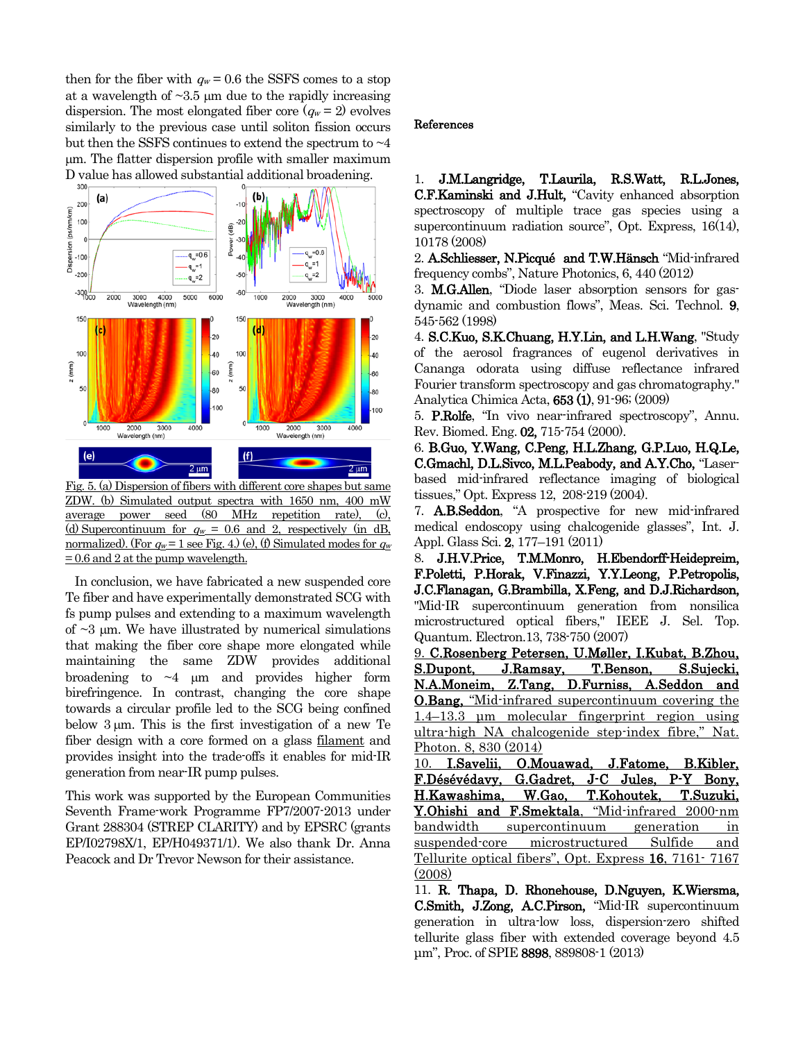then for the fiber with  $q_w = 0.6$  the SSFS comes to a stop at a wavelength of  $\sim$ 3.5 µm due to the rapidly increasing dispersion. The most elongated fiber core  $(q_w = 2)$  evolves similarly to the previous case until soliton fission occurs but then the SSFS continues to extend the spectrum to  $\sim$ 4 µm. The flatter dispersion profile with smaller maximum D value has allowed substantial additional broadening.



Fig. 5. (a) Dispersion of fibers with different core shapes but same ZDW. (b) Simulated output spectra with 1650 nm, 400 mW average power seed (80 MHz repetition rate), (c), (d) Supercontinuum for  $q_w = 0.6$  and 2, respectively (in dB, normalized). (For  $q_w = 1$  see Fig. 4.) (e), (f) Simulated modes for  $q_w$  $= 0.6$  and 2 at the pump wavelength.

 In conclusion, we have fabricated a new suspended core Te fiber and have experimentally demonstrated SCG with fs pump pulses and extending to a maximum wavelength of  $\sim$ 3  $\mu$ m. We have illustrated by numerical simulations that making the fiber core shape more elongated while maintaining the same ZDW provides additional broadening to  $\sim$ 4  $\mu$ m and provides higher form birefringence. In contrast, changing the core shape towards a circular profile led to the SCG being confined below 3 um. This is the first investigation of a new Te fiber design with a core formed on a glass filament and provides insight into the trade-offs it enables for mid-IR generation from near-IR pump pulses.

This work was supported by the European Communities Seventh Frame-work Programme FP7/2007-2013 under Grant 288304 (STREP CLARITY) and by EPSRC (grants EP/I02798X/1, EP/H049371/1). We also thank Dr. Anna Peacock and Dr Trevor Newson for their assistance.

## References

1. J.M.Langridge, T.Laurila, R.S.Watt, R.L.Jones, C.F.Kaminski and J.Hult, "Cavity enhanced absorption spectroscopy of multiple trace gas species using a supercontinuum radiation source", Opt. Express, 16(14), 10178 (2008)

2. A.Schliesser, N.Picqué and T.W.Hänsch "Mid-infrared frequency combs", Nature Photonics, 6, 440 (2012)

3. M.G.Allen, "Diode laser absorption sensors for gasdynamic and combustion flows", Meas. Sci. Technol. 9, 545-562 (1998)

4. S.C.Kuo, S.K.Chuang, H.Y.Lin, and L.H.Wang, "Study of the aerosol fragrances of eugenol derivatives in Cananga odorata using diffuse reflectance infrared Fourier transform spectroscopy and gas chromatography." Analytica Chimica Acta, 653 (1), 91-96; (2009)

5. P.Rolfe, "In vivo near-infrared spectroscopy", Annu. Rev. Biomed. Eng. 02, 715-754 (2000).

6. B.Guo, Y.Wang, C.Peng, H.L.Zhang, G.P.Luo, H.Q.Le, C.Gmachl, D.L.Sivco, M.L.Peabody, and A.Y.Cho, "Laserbased mid-infrared reflectance imaging of biological tissues," Opt. Express 12, 208-219 (2004).

7. A.B.Seddon, "A prospective for new mid-infrared medical endoscopy using chalcogenide glasses", Int. J. Appl. Glass Sci. 2, 177–191 (2011)

8. J.H.V.Price, T.M.Monro, H.Ebendorff-Heidepreim, F.Poletti, P.Horak, V.Finazzi, Y.Y.Leong, P.Petropolis, J.C.Flanagan, G.Brambilla, X.Feng, and D.J.Richardson, "Mid-IR supercontinuum generation from nonsilica microstructured optical fibers," IEEE J. Sel. Top. Quantum. Electron.13, 738-750 (2007)

9. C.Rosenberg Petersen, U.Møller, I.Kubat, B.Zhou, S.Dupont, J.Ramsay, T.Benson, S.Sujecki, N.A.Moneim, Z.Tang, D.Furniss, A.Seddon and O.Bang, "Mid-infrared supercontinuum covering the 1.4–13.3 μm molecular fingerprint region using ultra-high NA chalcogenide step-index fibre," Nat. Photon. 8, 830 (2014)

10. I.Savelii, O.Mouawad, J.Fatome, B.Kibler, F.Désévédavy, G.Gadret, J-C Jules, P-Y Bony, H.Kawashima, W.Gao, T.Kohoutek, T.Suzuki, Y.Ohishi and F.Smektala, "Mid-infrared 2000-nm bandwidth supercontinuum generation in suspended-core microstructured Sulfide and Tellurite optical fibers", Opt. Express 16, 7161- 7167 (2008)

11. R. Thapa, D. Rhonehouse, D.Nguyen, K.Wiersma, C.Smith, J.Zong, A.C.Pirson, "Mid-IR supercontinuum generation in ultra-low loss, dispersion-zero shifted tellurite glass fiber with extended coverage beyond 4.5 μm", Proc. of SPIE 8898, 889808-1 (2013)